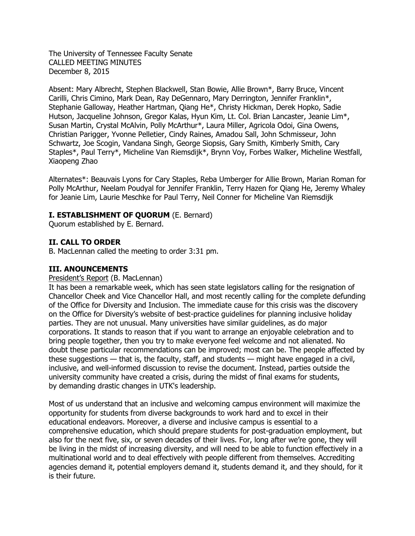The University of Tennessee Faculty Senate CALLED MEETING MINUTES December 8, 2015

Absent: Mary Albrecht, Stephen Blackwell, Stan Bowie, Allie Brown\*, Barry Bruce, Vincent Carilli, Chris Cimino, Mark Dean, Ray DeGennaro, Mary Derrington, Jennifer Franklin\*, Stephanie Galloway, Heather Hartman, Qiang He\*, Christy Hickman, Derek Hopko, Sadie Hutson, Jacqueline Johnson, Gregor Kalas, Hyun Kim, Lt. Col. Brian Lancaster, Jeanie Lim\*, Susan Martin, Crystal McAlvin, Polly McArthur\*, Laura Miller, Agricola Odoi, Gina Owens, Christian Parigger, Yvonne Pelletier, Cindy Raines, Amadou Sall, John Schmisseur, John Schwartz, Joe Scogin, Vandana Singh, George Siopsis, Gary Smith, Kimberly Smith, Cary Staples\*, Paul Terry\*, Micheline Van Riemsdijk\*, Brynn Voy, Forbes Walker, Micheline Westfall, Xiaopeng Zhao

Alternates\*: Beauvais Lyons for Cary Staples, Reba Umberger for Allie Brown, Marian Roman for Polly McArthur, Neelam Poudyal for Jennifer Franklin, Terry Hazen for Qiang He, Jeremy Whaley for Jeanie Lim, Laurie Meschke for Paul Terry, Neil Conner for Micheline Van Riemsdijk

## **I. ESTABLISHMENT OF QUORUM** (E. Bernard)

Quorum established by E. Bernard.

# **II. CALL TO ORDER**

B. MacLennan called the meeting to order 3:31 pm.

### **III. ANOUNCEMENTS**

#### President's Report (B. MacLennan)

It has been a remarkable week, which has seen state legislators calling for the resignation of Chancellor Cheek and Vice Chancellor Hall, and most recently calling for the complete defunding of the Office for Diversity and Inclusion. The immediate cause for this crisis was the discovery on the Office for Diversity's website of best-practice guidelines for planning inclusive holiday parties. They are not unusual. Many universities have similar guidelines, as do major corporations. It stands to reason that if you want to arrange an enjoyable celebration and to bring people together, then you try to make everyone feel welcome and not alienated. No doubt these particular recommendations can be improved; most can be. The people affected by these suggestions — that is, the faculty, staff, and students — might have engaged in a civil, inclusive, and well-informed discussion to revise the document. Instead, parties outside the university community have created a crisis, during the midst of final exams for students, by demanding drastic changes in UTK's leadership.

Most of us understand that an inclusive and welcoming campus environment will maximize the opportunity for students from diverse backgrounds to work hard and to excel in their educational endeavors. Moreover, a diverse and inclusive campus is essential to a comprehensive education, which should prepare students for post-graduation employment, but also for the next five, six, or seven decades of their lives. For, long after we're gone, they will be living in the midst of increasing diversity, and will need to be able to function effectively in a multinational world and to deal effectively with people different from themselves. Accrediting agencies demand it, potential employers demand it, students demand it, and they should, for it is their future.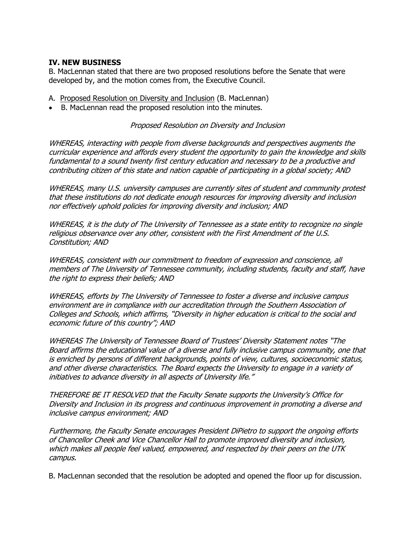## **IV. NEW BUSINESS**

B. MacLennan stated that there are two proposed resolutions before the Senate that were developed by, and the motion comes from, the Executive Council.

A. Proposed Resolution on Diversity and Inclusion (B. MacLennan)

B. MacLennan read the proposed resolution into the minutes.

Proposed Resolution on Diversity and Inclusion

WHEREAS, interacting with people from diverse backgrounds and perspectives augments the curricular experience and affords every student the opportunity to gain the knowledge and skills fundamental to a sound twenty first century education and necessary to be a productive and contributing citizen of this state and nation capable of participating in a global society; AND

WHEREAS, many U.S. university campuses are currently sites of student and community protest that these institutions do not dedicate enough resources for improving diversity and inclusion nor effectively uphold policies for improving diversity and inclusion; AND

WHEREAS, it is the duty of The University of Tennessee as a state entity to recognize no single religious observance over any other, consistent with the First Amendment of the U.S. Constitution; AND

WHEREAS, consistent with our commitment to freedom of expression and conscience, all members of The University of Tennessee community, including students, faculty and staff, have the right to express their beliefs; AND

WHEREAS, efforts by The University of Tennessee to foster a diverse and inclusive campus environment are in compliance with our accreditation through the Southern Association of Colleges and Schools, which affirms, "Diversity in higher education is critical to the social and economic future of this country"; AND

WHEREAS The University of Tennessee Board of Trustees' Diversity Statement notes "The Board affirms the educational value of a diverse and fully inclusive campus community, one that is enriched by persons of different backgrounds, points of view, cultures, socioeconomic status, and other diverse characteristics. The Board expects the University to engage in a variety of initiatives to advance diversity in all aspects of University life."

THEREFORE BE IT RESOLVED that the Faculty Senate supports the University's Office for Diversity and Inclusion in its progress and continuous improvement in promoting a diverse and inclusive campus environment; AND

Furthermore, the Faculty Senate encourages President DiPietro to support the ongoing efforts of Chancellor Cheek and Vice Chancellor Hall to promote improved diversity and inclusion, which makes all people feel valued, empowered, and respected by their peers on the UTK campus.

B. MacLennan seconded that the resolution be adopted and opened the floor up for discussion.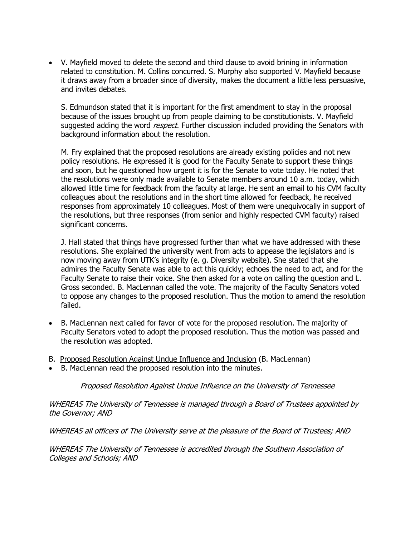V. Mayfield moved to delete the second and third clause to avoid brining in information related to constitution. M. Collins concurred. S. Murphy also supported V. Mayfield because it draws away from a broader since of diversity, makes the document a little less persuasive, and invites debates.

S. Edmundson stated that it is important for the first amendment to stay in the proposal because of the issues brought up from people claiming to be constitutionists. V. Mayfield suggested adding the word *respect*. Further discussion included providing the Senators with background information about the resolution.

M. Fry explained that the proposed resolutions are already existing policies and not new policy resolutions. He expressed it is good for the Faculty Senate to support these things and soon, but he questioned how urgent it is for the Senate to vote today. He noted that the resolutions were only made available to Senate members around 10 a.m. today, which allowed little time for feedback from the faculty at large. He sent an email to his CVM faculty colleagues about the resolutions and in the short time allowed for feedback, he received responses from approximately 10 colleagues. Most of them were unequivocally in support of the resolutions, but three responses (from senior and highly respected CVM faculty) raised significant concerns.

J. Hall stated that things have progressed further than what we have addressed with these resolutions. She explained the university went from acts to appease the legislators and is now moving away from UTK's integrity (e. g. Diversity website). She stated that she admires the Faculty Senate was able to act this quickly; echoes the need to act, and for the Faculty Senate to raise their voice. She then asked for a vote on calling the question and L. Gross seconded. B. MacLennan called the vote. The majority of the Faculty Senators voted to oppose any changes to the proposed resolution. Thus the motion to amend the resolution failed.

- B. MacLennan next called for favor of vote for the proposed resolution. The majority of Faculty Senators voted to adopt the proposed resolution. Thus the motion was passed and the resolution was adopted.
- B. Proposed Resolution Against Undue Influence and Inclusion (B. MacLennan)
- B. MacLennan read the proposed resolution into the minutes.

Proposed Resolution Against Undue Influence on the University of Tennessee

WHEREAS The University of Tennessee is managed through a Board of Trustees appointed by the Governor; AND

WHEREAS all officers of The University serve at the pleasure of the Board of Trustees; AND

WHEREAS The University of Tennessee is accredited through the Southern Association of Colleges and Schools; AND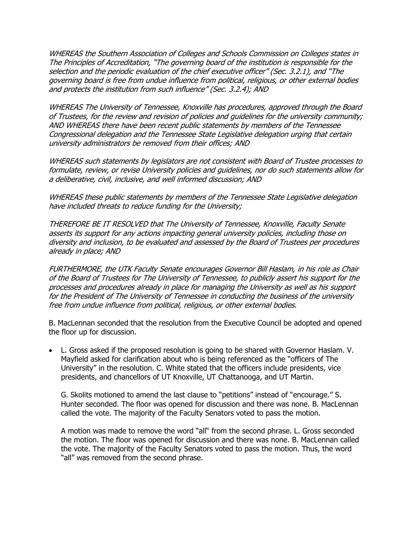WHEREAS the Southern Association of Colleges and Schools Commission on Colleges states in The Principles of Accreditation, "The governing board of the institution is responsible for the selection and the periodic evaluation of the chief executive officer" (Sec. 3.2.1), and "The governing board is free from undue influence from political, religious, or other external bodies and protects the institution from such influence" (Sec. 3.2.4); AND

WHEREAS The University of Tennessee, Knoxville has procedures, approved through the Board of Trustees, for the review and revision of policies and guidelines for the university community; AND WHEREAS there have been recent public statements by members of the Tennessee Congressional delegation and the Tennessee State Legislative delegation urging that certain university administrators be removed from their offices; AND

WHEREAS such statements by legislators are not consistent with Board of Trustee processes to formulate, review, or revise University policies and guidelines, nor do such statements allow for a deliberative, civil, inclusive, and well informed discussion; AND

WHEREAS these public statements by members of the Tennessee State Legislative delegation have included threats to reduce funding for the University;

THEREFORE BE IT RESOLVED that The University of Tennessee, Knoxville, Faculty Senate asserts its support for any actions impacting general university policies, including those on diversity and inclusion, to be evaluated and assessed by the Board of Trustees per procedures already in place; AND

FURTHERMORE, the UTK Faculty Senate encourages Governor Bill Haslam, in his role as Chair of the Board of Trustees for The University of Tennessee, to publicly assert his support for the processes and procedures already in place for managing the University as well as his support for the President of The University of Tennessee in conducting the business of the university free from undue influence from political, religious, or other external bodies.

B. MacLennan seconded that the resolution from the Executive Council be adopted and opened the floor up for discussion.

 L. Gross asked if the proposed resolution is going to be shared with Governor Haslam. V. Mayfield asked for clarification about who is being referenced as the "officers of The University" in the resolution. C. White stated that the officers include presidents, vice presidents, and chancellors of UT Knoxville, UT Chattanooga, and UT Martin.

G. Skolits motioned to amend the last clause to "petitions" instead of "encourage." S. Hunter seconded. The floor was opened for discussion and there was none. B. MacLennan called the vote. The majority of the Faculty Senators voted to pass the motion.

A motion was made to remove the word "all" from the second phrase. L. Gross seconded the motion. The floor was opened for discussion and there was none. B. MacLennan called the vote. The majority of the Faculty Senators voted to pass the motion. Thus, the word "all" was removed from the second phrase.